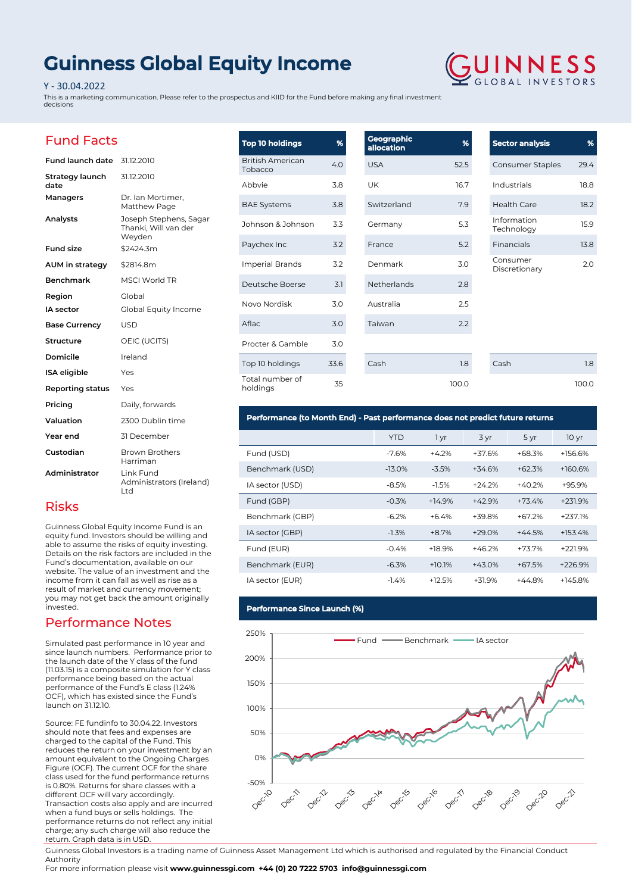# **Guinness Global Equity Income**

### Y - 30.04.2022

This is a marketing communication. Please refer to the prospectus and KIID for the Fund before making any final investment decisions



 $29.4$ 18.8  $18.2$ 

13.8

100.0

## Fund Facts

| Fund launch date        | 31.12.2010                                               |
|-------------------------|----------------------------------------------------------|
| Strategy launch<br>date | 31.12.2010                                               |
| Managers                | Dr. Ian Mortimer,<br>Matthew Page                        |
| Analysts                | Joseph Stephens, Sagar<br>Thanki, Will van der<br>Weyden |
| <b>Fund size</b>        | \$2424.3m                                                |
| AUM in strategy         | \$2814.8m                                                |
| <b>Benchmark</b>        | <b>MSCI World TR</b>                                     |
| Region                  | Global                                                   |
| <b>IA</b> sector        | Global Equity Income                                     |
| <b>Base Currency</b>    | USD                                                      |
| Structure               | OEIC (UCITS)                                             |
| Domicile                | Ireland                                                  |
| <b>ISA</b> eligible     | Yes                                                      |
| <b>Reporting status</b> | Yes                                                      |
| Pricing                 | Daily, forwards                                          |
| Valuation               | 2300 Dublin time                                         |
| Year end                | 31 December                                              |
| Custodian               | <b>Brown Brothers</b><br>Harriman                        |
| Administrator           | Link Fund<br>Administrators (Ireland)<br>Ltd             |

## Risks

Guinness Global Equity Income Fund is an equity fund. Investors should be willing and able to assume the risks of equity investing. Details on the risk factors are included in the Fund's documentation, available on our website. The value of an investment and the income from it can fall as well as rise as a result of market and currency movement; you may not get back the amount originally invested.

## Performance Notes

Simulated past performance in 10 year and since launch numbers. Performance prior to the launch date of the Y class of the fund (11.03.15) is a composite simulation for Y class performance being based on the actual performance of the Fund's E class (1.24% OCF), which has existed since the Fund's launch on 31.12.10.

Source: FE fundinfo to 30.04.22. Investors should note that fees and expenses are charged to the capital of the Fund. This reduces the return on your investment by an amount equivalent to the Ongoing Charges Figure (OCF). The current OCF for the share class used for the fund performance returns is 0.80%. Returns for share classes with a different OCF will vary accordingly. Transaction costs also apply and are incurred when a fund buys or sells holdings. The performance returns do not reflect any initial charge; any such charge will also reduce the return. Graph data is in USD.

| <b>Top 10 holdings</b>             | %    | <b>Geographic</b><br>allocation | %     | <b>Sector analysis</b>    | %     |
|------------------------------------|------|---------------------------------|-------|---------------------------|-------|
| <b>British American</b><br>Tobacco | 4.0  | <b>USA</b>                      | 52.5  | Consumer Staples          | 29.4  |
| Abbvie                             | 3.8  | UK                              | 16.7  | Industrials               | 18.8  |
| <b>BAE Systems</b>                 | 3.8  | Switzerland                     | 7.9   | <b>Health Care</b>        | 18.2  |
| Johnson & Johnson                  | 3.3  | Germany                         | 5.3   | Information<br>Technology | 15.9  |
| Paychex Inc                        | 3.2  | France                          | 5.2   | Financials                | 13.8  |
| <b>Imperial Brands</b>             | 3.2  | Denmark                         | 3.0   | Consumer<br>Discretionary | 2.0   |
| Deutsche Boerse                    | 3.1  | Netherlands                     | 2.8   |                           |       |
| Novo Nordisk                       | 3.0  | Australia                       | 2.5   |                           |       |
| Aflac                              | 3.0  | Taiwan                          | 2.2   |                           |       |
| Procter & Gamble                   | 3.0  |                                 |       |                           |       |
| Top 10 holdings                    | 33.6 | Cash                            | 1.8   | Cash                      | 1.8   |
| Total number of<br>holdings        | 35   |                                 | 100.0 |                           | 100.0 |

## **Performance (to Month End) - Past performance does not predict future returns**

|                 | <b>YTD</b> | 1 yr     | 3 yr     | 5 yr     | 10 <sub>yr</sub> |
|-----------------|------------|----------|----------|----------|------------------|
| Fund (USD)      | $-7.6%$    | $+4.2%$  | +37.6%   | $+68.3%$ | +156.6%          |
| Benchmark (USD) | $-13.0%$   | $-3.5%$  | $+34.6%$ | $+62.3%$ | $+160.6%$        |
| IA sector (USD) | $-8.5%$    | $-1.5%$  | $+24.2%$ | $+40.2%$ | +95.9%           |
| Fund (GBP)      | $-0.3%$    | $+14.9%$ | $+42.9%$ | $+73.4%$ | $+231.9%$        |
| Benchmark (GBP) | $-6.2%$    | $+6.4%$  | +39.8%   | $+67.2%$ | $+237.1%$        |
| IA sector (GBP) | $-1.3%$    | $+8.7%$  | $+29.0%$ | $+44.5%$ | $+153.4%$        |
| Fund (EUR)      | $-0.4%$    | $+18.9%$ | $+46.2%$ | $+73.7%$ | +221.9%          |
| Benchmark (EUR) | $-6.3%$    | $+10.1%$ | $+43.0%$ | $+67.5%$ | $+226.9%$        |
| IA sector (EUR) | $-1.4%$    | $+12.5%$ | $+31.9%$ | $+44.8%$ | +145.8%          |

### **Performance Since Launch (%)**



Guinness Global Investors is a trading name of Guinness Asset Management Ltd which is authorised and regulated by the Financial Conduct Authority

For more information please visit **www.guinnessgi.com +44 (0) 20 7222 5703 info@guinnessgi.com**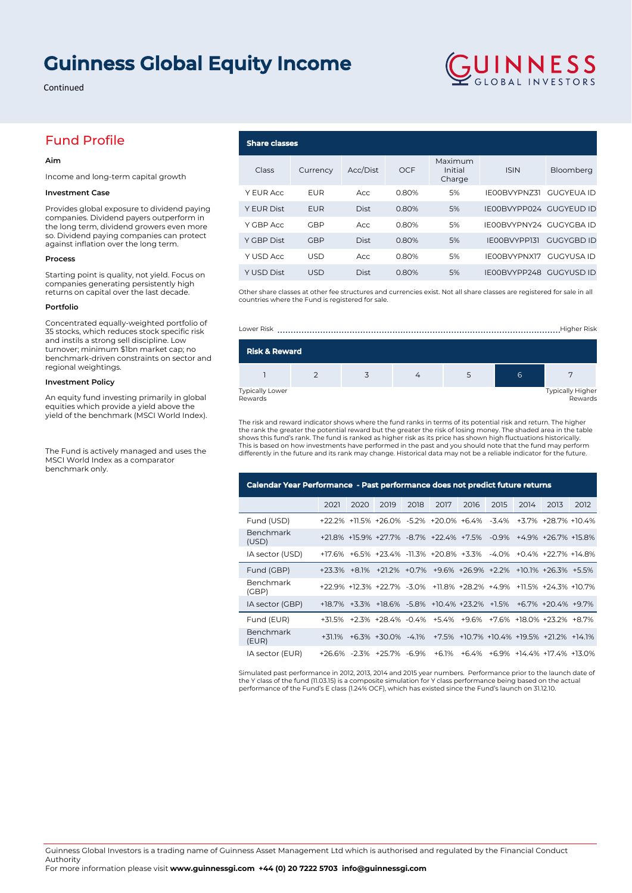# **Guinness Global Equity Income**

Continued

## Fund Profile

### **Aim**

Income and long-term capital growth

#### **Investment Case**

Provides global exposure to dividend paying companies. Dividend payers outperform in the long term, dividend growers even more so. Dividend paying companies can protect against inflation over the long term.

#### **Process**

Starting point is quality, not yield. Focus on companies generating persistently high returns on capital over the last decade.

#### **Portfolio**

Concentrated equally-weighted portfolio of 35 stocks, which reduces stock specific risk and instils a strong sell discipline. Low turnover; minimum \$1bn market cap; no benchmark-driven constraints on sector and regional weightings.

#### **Investment Policy**

An equity fund investing primarily in global equities which provide a yield above the yield of the benchmark (MSCI World Index).

The Fund is actively managed and uses the MSCI World Index as a comparator benchmark only.

## **Share classes** Class Currency Acc/Dist OCF Maximum Initial Charge ISIN Bloomberg Y EUR Acc EUR Acc 0.80% 5% IE00BVYPNZ31 GUGYEUA ID Y EUR Dist EUR Dist 0.80% 5% IE00BVYPP024 GUGYEUD ID Y GBP Acc GBP Acc 0.80% 5% IE00BVYPNY24 GUGYGBA ID Y GBP Dist GBP Dist 0.80% 5% IE00BVYPP131 GUGYGBD ID Y USD Acc USD Acc 0.80% 5% IE00BVYPNX17 GUGYUSA ID Y USD Dist USD Dist 0.80% 5% IE00BVYPP248 GUGYUSD ID

**GUINNESS** 

Other share classes at other fee structures and currencies exist. Not all share classes are registered for sale in all countries where the Fund is registered for sale.



The risk and reward indicator shows where the fund ranks in terms of its potential risk and return. The higher the rank the greater the potential reward but the greater the risk of losing money. The shaded area in the table<br>shows this fund's rank. The fund is ranked as higher risk as its price has shown high fluctuations historical This is based on how investments have performed in the past and you should note that the fund may perform differently in the future and its rank may change. Historical data may not be a reliable indicator for the future.

| Calendar Year Performance - Past performance does not predict future returns |      |      |                                                                     |      |      |      |      |      |                                        |      |
|------------------------------------------------------------------------------|------|------|---------------------------------------------------------------------|------|------|------|------|------|----------------------------------------|------|
|                                                                              | 2021 | 2020 | 2019                                                                | 2018 | 2017 | 2016 | 2015 | 2014 | 2013                                   | 2012 |
| Fund (USD)                                                                   |      |      | +22.2% +11.5% +26.0% -5.2% +20.0% +6.4% -3.4% +3.7% +28.7% +10.4%   |      |      |      |      |      |                                        |      |
| Benchmark<br>(USD)                                                           |      |      | +21.8% +15.9% +27.7% -8.7% +22.4% +7.5% -0.9% +4.9% +26.7% +15.8%   |      |      |      |      |      |                                        |      |
| IA sector (USD)                                                              |      |      | +17.6% +6.5% +23.4% -11.3% +20.8% +3.3% -4.0% +0.4% +22.7% +14.8%   |      |      |      |      |      |                                        |      |
| Fund (GBP)                                                                   |      |      | +23.3% +8.1% +21.2% +0.7% +9.6% +26.9% +2.2% +10.1% +26.3% +5.5%    |      |      |      |      |      |                                        |      |
| Benchmark<br>(GBP)                                                           |      |      | +22.9% +12.3% +22.7% -3.0% +11.8% +28.2% +4.9% +11.5% +24.3% +10.7% |      |      |      |      |      |                                        |      |
| IA sector (GBP)                                                              |      |      | +18.7% +3.3% +18.6% -5.8% +10.4% +23.2% +1.5% +6.7% +20.4% +9.7%    |      |      |      |      |      |                                        |      |
| Fund (EUR)                                                                   |      |      | +31.5% +2.3% +28.4% -0.4% +5.4% +9.6% +7.6% +18.0% +23.2% +8.7%     |      |      |      |      |      |                                        |      |
| Benchmark<br>(EUR)                                                           |      |      | +31.1% +6.3% +30.0% -4.1% +7.5% +10.7% +10.4% +19.5% +21.2% +14.1%  |      |      |      |      |      |                                        |      |
| IA sector (EUR)                                                              |      |      | +26.6% -2.3% +25.7% -6.9%                                           |      |      |      |      |      | +6.1% +6.4% +6.9% +14.4% +17.4% +13.0% |      |

Simulated past performance in 2012, 2013, 2014 and 2015 year numbers. Performance prior to the launch date of the Y class of the fund (11.03.15) is a composite simulation for Y class performance being based on the actual performance of the Fund's E class (1.24% OCF), which has existed since the Fund's launch on 31.12.10.

Guinness Global Investors is a trading name of Guinness Asset Management Ltd which is authorised and regulated by the Financial Conduct Authority